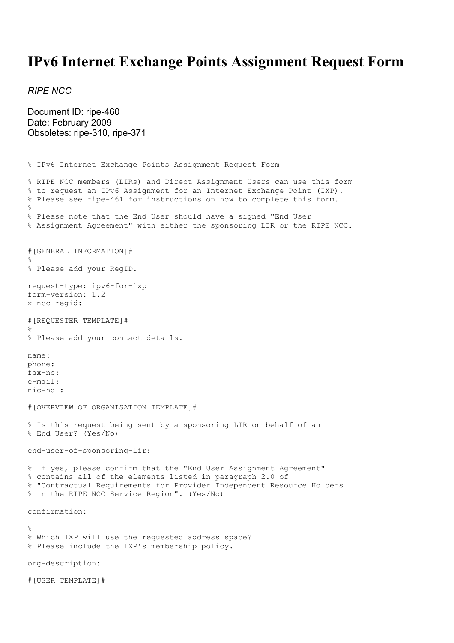## **IPv6 Internet Exchange Points Assignment Request Form**

*RIPE NCC*

Document ID: ripe-460 Date: February 2009 Obsoletes: ripe-310, ripe-371

```
% IPv6 Internet Exchange Points Assignment Request Form
% RIPE NCC members (LIRs) and Direct Assignment Users can use this form
% to request an IPv6 Assignment for an Internet Exchange Point (IXP).
% Please see ripe-461 for instructions on how to complete this form.
%
% Please note that the End User should have a signed "End User
% Assignment Agreement" with either the sponsoring LIR or the RIPE NCC.
#[GENERAL INFORMATION]#
\mathbf{Q}% Please add your RegID.
request-type: ipv6-for-ixp
form-version: 1.2
x-ncc-regid:
#[REQUESTER TEMPLATE]#
\mathbf{Q}% Please add your contact details.
name:
phone:
fax-no:
e-mail:
nic-hdl:
#[OVERVIEW OF ORGANISATION TEMPLATE]#
% Is this request being sent by a sponsoring LIR on behalf of an
% End User? (Yes/No)
end-user-of-sponsoring-lir:
% If yes, please confirm that the "End User Assignment Agreement"
% contains all of the elements listed in paragraph 2.0 of
% "Contractual Requirements for Provider Independent Resource Holders
% in the RIPE NCC Service Region". (Yes/No)
confirmation:
\approx% Which IXP will use the requested address space?
% Please include the IXP's membership policy.
org-description:
#[USER TEMPLATE]#
```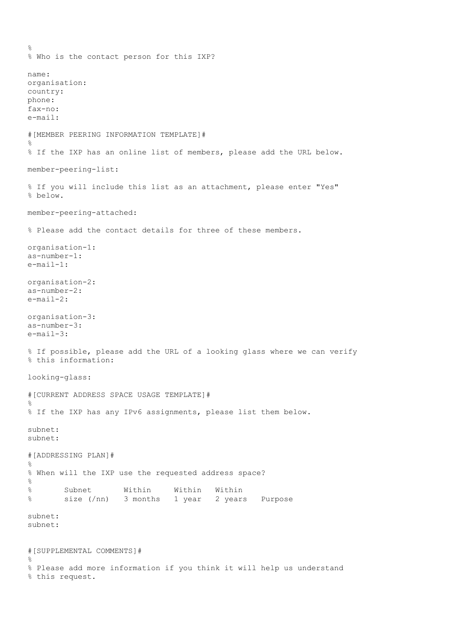$\frac{1}{2}$ % Who is the contact person for this IXP? name: organisation: country: phone: fax-no: e-mail: #[MEMBER PEERING INFORMATION TEMPLATE]#  $\circ$ % If the IXP has an online list of members, please add the URL below. member-peering-list: % If you will include this list as an attachment, please enter "Yes" % below. member-peering-attached: % Please add the contact details for three of these members. organisation-1: as-number-1: e-mail-1: organisation-2: as-number-2: e-mail-2: organisation-3: as-number-3: e-mail-3: % If possible, please add the URL of a looking glass where we can verify % this information: looking-glass: #[CURRENT ADDRESS SPACE USAGE TEMPLATE]#  $\approx$ % If the IXP has any IPv6 assignments, please list them below. subnet: subnet: #[ADDRESSING PLAN]# % % When will the IXP use the requested address space?  $\approx$ % Subnet Within Within Within % size (/nn) 3 months 1 year 2 years Purpose subnet: subnet: #[SUPPLEMENTAL COMMENTS]#  $\geq$ % Please add more information if you think it will help us understand % this request.